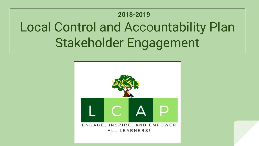## Local Control and Accountability Plan Stakeholder Engagement **2018-2019**

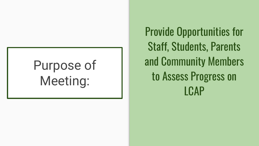## Purpose of Meeting:

Provide Opportunities for Staff, Students, Parents and Community Members to Assess Progress on LCAP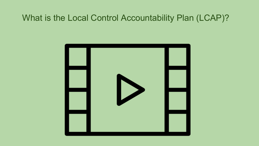#### What is the Local Control Accountability Plan (LCAP)?

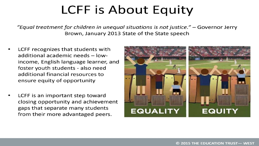### **LCFF is About Equity**

"Equal treatment for children in unequal situations is not justice."  $-$  Governor Jerry Brown, January 2013 State of the State speech

- LCFF recognizes that students with additional academic needs - lowincome, English language learner, and foster youth students - also need additional financial resources to ensure equity of opportunity
- LCFF is an important step toward closing opportunity and achievement gaps that separate many students from their more advantaged peers.

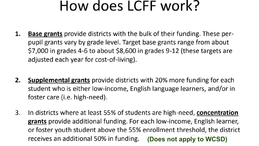## How does LCFF work?

- Base grants provide districts with the bulk of their funding. These per-1. pupil grants vary by grade level. Target base grants range from about \$7,000 in grades 4-6 to about \$8,600 in grades 9-12 (these targets are adjusted each year for cost-of-living).
- **Supplemental grants** provide districts with 20% more funding for each 2. student who is either low-income, English language learners, and/or in foster care (i.e. high-need).
- In districts where at least 55% of students are high-need, concentration 3. grants provide additional funding. For each low-income, English learner, or foster youth student above the 55% enrollment threshold, the district receives an additional 50% in funding. (Does not apply to WCSD)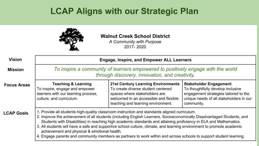#### **LCAP Aligns with our Strategic Plan**

| <b>Vision</b>      | A Community with Purpose<br>2017-2020<br><b>Engage, Inspire, and Empower ALL Learners</b><br>To inspire a community of learners empowered to positively engage with the world<br>through discovery, innovation, and creativity.                                                                                                                                                                                                                                                                                                                                                                                                           |                                                                                                                                                                                                  |                                                                                                                                                                      |
|--------------------|-------------------------------------------------------------------------------------------------------------------------------------------------------------------------------------------------------------------------------------------------------------------------------------------------------------------------------------------------------------------------------------------------------------------------------------------------------------------------------------------------------------------------------------------------------------------------------------------------------------------------------------------|--------------------------------------------------------------------------------------------------------------------------------------------------------------------------------------------------|----------------------------------------------------------------------------------------------------------------------------------------------------------------------|
| <b>Mission</b>     |                                                                                                                                                                                                                                                                                                                                                                                                                                                                                                                                                                                                                                           |                                                                                                                                                                                                  |                                                                                                                                                                      |
| <b>Focus Areas</b> | <b>Teaching &amp; Learning</b><br>To inspire, engage and empower<br>learners with our learning process,<br>culture, and curriculum.                                                                                                                                                                                                                                                                                                                                                                                                                                                                                                       | <b>21st Century Learning Environments</b><br>To create diverse student centered<br>spaces where stakeholders are<br>welcomed in an accessible and flexible<br>teaching and learning environment. | <b>Stakeholder Engagement</b><br>To thoughtfully develop inclusive<br>engagement strategies tailored to the<br>unique needs of all stakeholders in our<br>community. |
| <b>LCAP Goals</b>  | 1. Provide all students high-quality classroom instruction and standards aligned curriculum.<br>2. Improve the achievement of all students (including English Learners, Socioeconomically Disadvantaged Students, and<br>Students with Disabilities) in reaching high academic standards and attaining proficiency in ELA and Mathematics.<br>3. All students will have a safe and supportive school culture, climate, and learning environment to promote academic<br>achievement and physical & emotional health.<br>4. Engage parents and community members as partners to work within and across schools to support student learning. |                                                                                                                                                                                                  |                                                                                                                                                                      |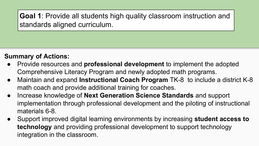**Goal 1**: Provide all students high quality classroom instruction and standards aligned curriculum.

- Provide resources and **professional development** to implement the adopted Comprehensive Literacy Program and newly adopted math programs.
- Maintain and expand **Instructional Coach Program** TK-8 to include a district K-8 math coach and provide additional training for coaches.
- Increase knowledge of **Next Generation Science Standards** and support implementation through professional development and the piloting of instructional materials 6-8
- Support improved digital learning environments by increasing **student access to technology** and providing professional development to support technology integration in the classroom.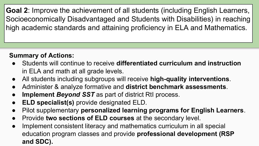**Goal 2**: Improve the achievement of all students (including English Learners, Socioeconomically Disadvantaged and Students with Disabilities) in reaching high academic standards and attaining proficiency in ELA and Mathematics.

- Students will continue to receive **differentiated curriculum and instruction** in ELA and math at all grade levels.
- All students including subgroups will receive **high-quality interventions**.
- Administer & analyze formative and **district benchmark assessments**.
- **Implement Beyond SST** as part of district RtI process.
- **ELD specialist(s)** provide designated ELD.
- Pilot supplementary **personalized learning programs for English Learners**.
- Provide two sections of ELD courses at the secondary level.
- Implement consistent literacy and mathematics curriculum in all special education program classes and provide **professional development (RSP and SDC).**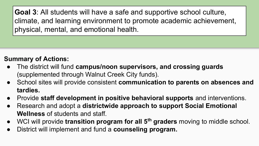**Goal 3**: All students will have a safe and supportive school culture, climate, and learning environment to promote academic achievement, physical, mental, and emotional health.

- The district will fund **campus/noon supervisors, and crossing guards**  (supplemented through Walnut Creek City funds).
- School sites will provide consistent **communication to parents on absences and tardies.**
- Provide **staff development in positive behavioral supports** and interventions.
- Research and adopt a **districtwide approach to support Social Emotional Wellness** of students and staff.
- WCI will provide **transition program for all 5<sup>th</sup> graders** moving to middle school.
- District will implement and fund a **counseling program.**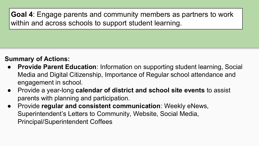**Goal 4**: Engage parents and community members as partners to work within and across schools to support student learning.

- **● Provide Parent Education**: Information on supporting student learning, Social Media and Digital Citizenship, Importance of Regular school attendance and engagement in school.
- **●** Provide a year-long **calendar of district and school site events** to assist parents with planning and participation.
- **●** Provide **regular and consistent communication**: Weekly eNews, Superintendent's Letters to Community, Website, Social Media, Principal/Superintendent Coffees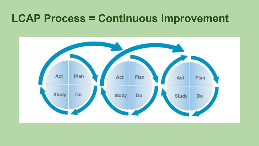#### **LCAP Process = Continuous Improvement**

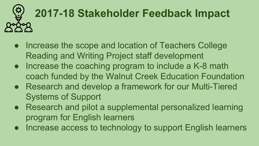# **2017-18 Stakeholder Feedback Impact**

- Increase the scope and location of Teachers College Reading and Writing Project staff development
- Increase the coaching program to include a K-8 math coach funded by the Walnut Creek Education Foundation
- Research and develop a framework for our Multi-Tiered Systems of Support
- Research and pilot a supplemental personalized learning program for English learners
- Increase access to technology to support English learners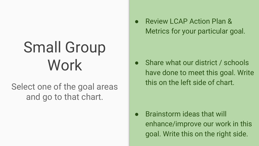## Small Group Work

Select one of the goal areas and go to that chart.

● Review LCAP Action Plan & Metrics for your particular goal.

• Share what our district / schools have done to meet this goal. Write this on the left side of chart.

● Brainstorm ideas that will enhance/improve our work in this goal. Write this on the right side.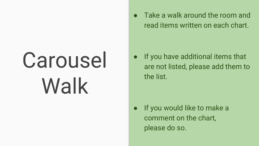## Carousel Walk

Take a walk around the room and read items written on each chart.

If you have additional items that are not listed, please add them to the list.

If you would like to make a comment on the chart, please do so.